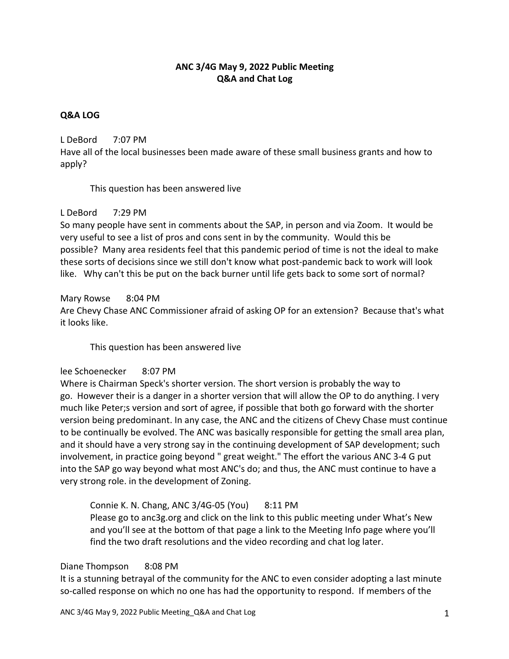# **ANC 3/4G May 9, 2022 Public Meeting Q&A and Chat Log**

#### **Q&A LOG**

#### L DeBord 7:07 PM

Have all of the local businesses been made aware of these small business grants and how to apply?

This question has been answered live

## L DeBord 7:29 PM

So many people have sent in comments about the SAP, in person and via Zoom. It would be very useful to see a list of pros and cons sent in by the community. Would this be possible? Many area residents feel that this pandemic period of time is not the ideal to make these sorts of decisions since we still don't know what post-pandemic back to work will look like. Why can't this be put on the back burner until life gets back to some sort of normal?

#### Mary Rowse 8:04 PM

Are Chevy Chase ANC Commissioner afraid of asking OP for an extension? Because that's what it looks like.

This question has been answered live

## lee Schoenecker 8:07 PM

Where is Chairman Speck's shorter version. The short version is probably the way to go. However their is a danger in a shorter version that will allow the OP to do anything. I very much like Peter;s version and sort of agree, if possible that both go forward with the shorter version being predominant. In any case, the ANC and the citizens of Chevy Chase must continue to be continually be evolved. The ANC was basically responsible for getting the small area plan, and it should have a very strong say in the continuing development of SAP development; such involvement, in practice going beyond " great weight." The effort the various ANC 3-4 G put into the SAP go way beyond what most ANC's do; and thus, the ANC must continue to have a very strong role. in the development of Zoning.

## Connie K. N. Chang, ANC 3/4G-05 (You) 8:11 PM

Please go to anc3g.org and click on the link to this public meeting under What's New and you'll see at the bottom of that page a link to the Meeting Info page where you'll find the two draft resolutions and the video recording and chat log later.

#### Diane Thompson 8:08 PM

It is a stunning betrayal of the community for the ANC to even consider adopting a last minute so-called response on which no one has had the opportunity to respond. If members of the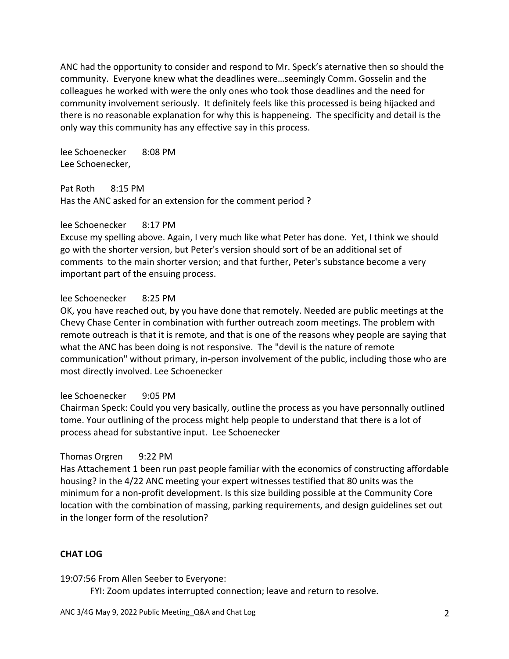ANC had the opportunity to consider and respond to Mr. Speck's aternative then so should the community. Everyone knew what the deadlines were…seemingly Comm. Gosselin and the colleagues he worked with were the only ones who took those deadlines and the need for community involvement seriously. It definitely feels like this processed is being hijacked and there is no reasonable explanation for why this is happeneing. The specificity and detail is the only way this community has any effective say in this process.

lee Schoenecker 8:08 PM Lee Schoenecker,

Pat Roth 8:15 PM

Has the ANC asked for an extension for the comment period ?

#### lee Schoenecker 8:17 PM

Excuse my spelling above. Again, I very much like what Peter has done. Yet, I think we should go with the shorter version, but Peter's version should sort of be an additional set of comments to the main shorter version; and that further, Peter's substance become a very important part of the ensuing process.

## lee Schoenecker 8:25 PM

OK, you have reached out, by you have done that remotely. Needed are public meetings at the Chevy Chase Center in combination with further outreach zoom meetings. The problem with remote outreach is that it is remote, and that is one of the reasons whey people are saying that what the ANC has been doing is not responsive. The "devil is the nature of remote communication" without primary, in-person involvement of the public, including those who are most directly involved. Lee Schoenecker

## lee Schoenecker 9:05 PM

Chairman Speck: Could you very basically, outline the process as you have personnally outlined tome. Your outlining of the process might help people to understand that there is a lot of process ahead for substantive input. Lee Schoenecker

## Thomas Orgren 9:22 PM

Has Attachement 1 been run past people familiar with the economics of constructing affordable housing? in the 4/22 ANC meeting your expert witnesses testified that 80 units was the minimum for a non-profit development. Is this size building possible at the Community Core location with the combination of massing, parking requirements, and design guidelines set out in the longer form of the resolution?

## **CHAT LOG**

19:07:56 From Allen Seeber to Everyone:

FYI: Zoom updates interrupted connection; leave and return to resolve.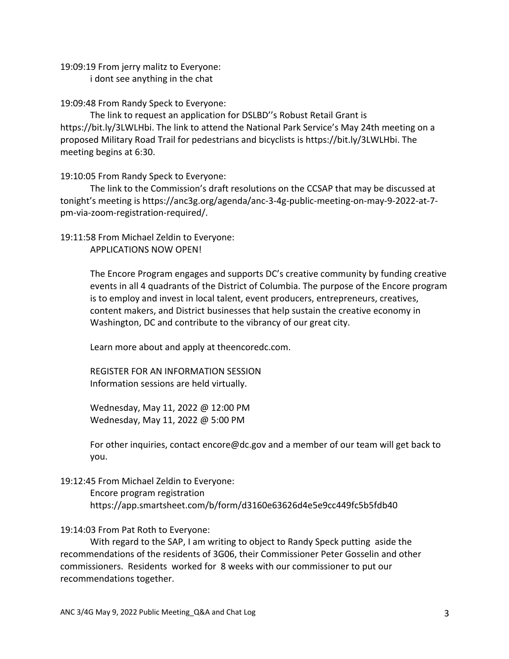19:09:19 From jerry malitz to Everyone:

i dont see anything in the chat

19:09:48 From Randy Speck to Everyone:

The link to request an application for DSLBD''s Robust Retail Grant is https://bit.ly/3LWLHbi. The link to attend the National Park Service's May 24th meeting on a proposed Military Road Trail for pedestrians and bicyclists is https://bit.ly/3LWLHbi. The meeting begins at 6:30.

19:10:05 From Randy Speck to Everyone:

The link to the Commission's draft resolutions on the CCSAP that may be discussed at tonight's meeting is https://anc3g.org/agenda/anc-3-4g-public-meeting-on-may-9-2022-at-7 pm-via-zoom-registration-required/.

# 19:11:58 From Michael Zeldin to Everyone:

APPLICATIONS NOW OPEN!

The Encore Program engages and supports DC's creative community by funding creative events in all 4 quadrants of the District of Columbia. The purpose of the Encore program is to employ and invest in local talent, event producers, entrepreneurs, creatives, content makers, and District businesses that help sustain the creative economy in Washington, DC and contribute to the vibrancy of our great city.

Learn more about and apply at theencoredc.com.

REGISTER FOR AN INFORMATION SESSION Information sessions are held virtually.

Wednesday, May 11, 2022 @ 12:00 PM Wednesday, May 11, 2022 @ 5:00 PM

For other inquiries, contact encore@dc.gov and a member of our team will get back to you.

# 19:12:45 From Michael Zeldin to Everyone:

Encore program registration https://app.smartsheet.com/b/form/d3160e63626d4e5e9cc449fc5b5fdb40

19:14:03 From Pat Roth to Everyone:

With regard to the SAP, I am writing to object to Randy Speck putting aside the recommendations of the residents of 3G06, their Commissioner Peter Gosselin and other commissioners. Residents worked for 8 weeks with our commissioner to put our recommendations together.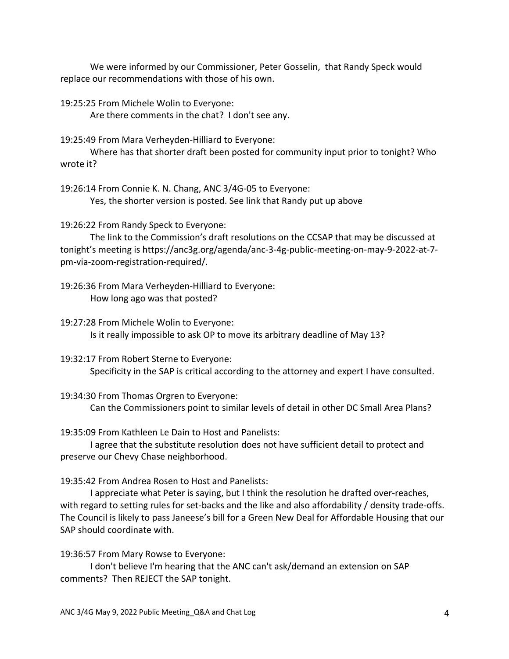We were informed by our Commissioner, Peter Gosselin, that Randy Speck would replace our recommendations with those of his own.

19:25:25 From Michele Wolin to Everyone:

Are there comments in the chat? I don't see any.

19:25:49 From Mara Verheyden-Hilliard to Everyone:

Where has that shorter draft been posted for community input prior to tonight? Who wrote it?

19:26:14 From Connie K. N. Chang, ANC 3/4G-05 to Everyone: Yes, the shorter version is posted. See link that Randy put up above

19:26:22 From Randy Speck to Everyone:

The link to the Commission's draft resolutions on the CCSAP that may be discussed at tonight's meeting is https://anc3g.org/agenda/anc-3-4g-public-meeting-on-may-9-2022-at-7 pm-via-zoom-registration-required/.

19:26:36 From Mara Verheyden-Hilliard to Everyone: How long ago was that posted?

19:27:28 From Michele Wolin to Everyone: Is it really impossible to ask OP to move its arbitrary deadline of May 13?

19:32:17 From Robert Sterne to Everyone: Specificity in the SAP is critical according to the attorney and expert I have consulted.

19:34:30 From Thomas Orgren to Everyone: Can the Commissioners point to similar levels of detail in other DC Small Area Plans?

19:35:09 From Kathleen Le Dain to Host and Panelists:

I agree that the substitute resolution does not have sufficient detail to protect and preserve our Chevy Chase neighborhood.

19:35:42 From Andrea Rosen to Host and Panelists:

I appreciate what Peter is saying, but I think the resolution he drafted over-reaches, with regard to setting rules for set-backs and the like and also affordability / density trade-offs. The Council is likely to pass Janeese's bill for a Green New Deal for Affordable Housing that our SAP should coordinate with.

19:36:57 From Mary Rowse to Everyone:

I don't believe I'm hearing that the ANC can't ask/demand an extension on SAP comments? Then REJECT the SAP tonight.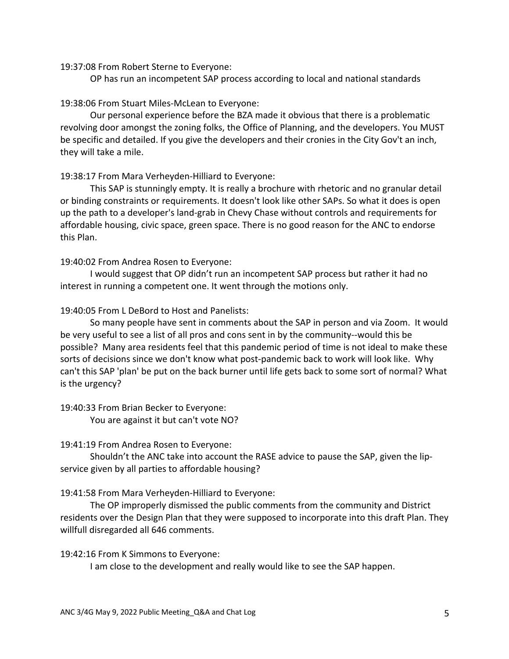#### 19:37:08 From Robert Sterne to Everyone:

OP has run an incompetent SAP process according to local and national standards

#### 19:38:06 From Stuart Miles-McLean to Everyone:

Our personal experience before the BZA made it obvious that there is a problematic revolving door amongst the zoning folks, the Office of Planning, and the developers. You MUST be specific and detailed. If you give the developers and their cronies in the City Gov't an inch, they will take a mile.

## 19:38:17 From Mara Verheyden-Hilliard to Everyone:

This SAP is stunningly empty. It is really a brochure with rhetoric and no granular detail or binding constraints or requirements. It doesn't look like other SAPs. So what it does is open up the path to a developer's land-grab in Chevy Chase without controls and requirements for affordable housing, civic space, green space. There is no good reason for the ANC to endorse this Plan.

#### 19:40:02 From Andrea Rosen to Everyone:

I would suggest that OP didn't run an incompetent SAP process but rather it had no interest in running a competent one. It went through the motions only.

## 19:40:05 From L DeBord to Host and Panelists:

So many people have sent in comments about the SAP in person and via Zoom. It would be very useful to see a list of all pros and cons sent in by the community--would this be possible? Many area residents feel that this pandemic period of time is not ideal to make these sorts of decisions since we don't know what post-pandemic back to work will look like. Why can't this SAP 'plan' be put on the back burner until life gets back to some sort of normal? What is the urgency?

19:40:33 From Brian Becker to Everyone: You are against it but can't vote NO?

#### 19:41:19 From Andrea Rosen to Everyone:

Shouldn't the ANC take into account the RASE advice to pause the SAP, given the lipservice given by all parties to affordable housing?

19:41:58 From Mara Verheyden-Hilliard to Everyone:

The OP improperly dismissed the public comments from the community and District residents over the Design Plan that they were supposed to incorporate into this draft Plan. They willfull disregarded all 646 comments.

19:42:16 From K Simmons to Everyone:

I am close to the development and really would like to see the SAP happen.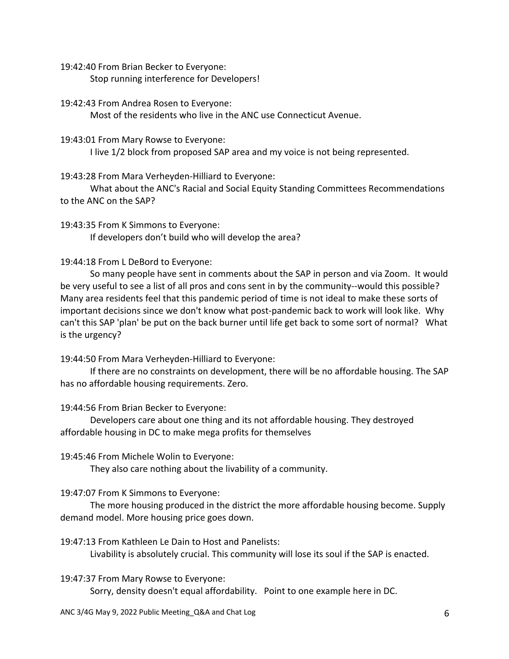19:42:40 From Brian Becker to Everyone:

Stop running interference for Developers!

19:42:43 From Andrea Rosen to Everyone:

Most of the residents who live in the ANC use Connecticut Avenue.

19:43:01 From Mary Rowse to Everyone:

I live 1/2 block from proposed SAP area and my voice is not being represented.

19:43:28 From Mara Verheyden-Hilliard to Everyone:

What about the ANC's Racial and Social Equity Standing Committees Recommendations to the ANC on the SAP?

19:43:35 From K Simmons to Everyone: If developers don't build who will develop the area?

## 19:44:18 From L DeBord to Everyone:

So many people have sent in comments about the SAP in person and via Zoom. It would be very useful to see a list of all pros and cons sent in by the community--would this possible? Many area residents feel that this pandemic period of time is not ideal to make these sorts of important decisions since we don't know what post-pandemic back to work will look like. Why can't this SAP 'plan' be put on the back burner until life get back to some sort of normal? What is the urgency?

19:44:50 From Mara Verheyden-Hilliard to Everyone:

If there are no constraints on development, there will be no affordable housing. The SAP has no affordable housing requirements. Zero.

19:44:56 From Brian Becker to Everyone:

Developers care about one thing and its not affordable housing. They destroyed affordable housing in DC to make mega profits for themselves

19:45:46 From Michele Wolin to Everyone:

They also care nothing about the livability of a community.

19:47:07 From K Simmons to Everyone:

The more housing produced in the district the more affordable housing become. Supply demand model. More housing price goes down.

19:47:13 From Kathleen Le Dain to Host and Panelists: Livability is absolutely crucial. This community will lose its soul if the SAP is enacted.

19:47:37 From Mary Rowse to Everyone:

Sorry, density doesn't equal affordability. Point to one example here in DC.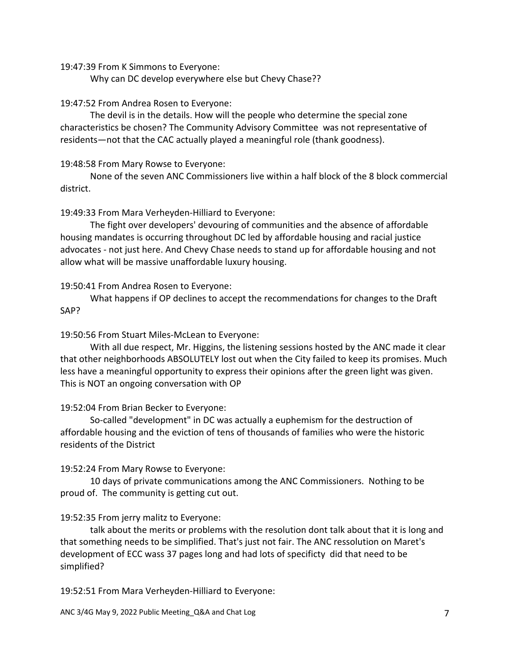19:47:39 From K Simmons to Everyone:

Why can DC develop everywhere else but Chevy Chase??

19:47:52 From Andrea Rosen to Everyone:

The devil is in the details. How will the people who determine the special zone characteristics be chosen? The Community Advisory Committee was not representative of residents—not that the CAC actually played a meaningful role (thank goodness).

#### 19:48:58 From Mary Rowse to Everyone:

None of the seven ANC Commissioners live within a half block of the 8 block commercial district.

## 19:49:33 From Mara Verheyden-Hilliard to Everyone:

The fight over developers' devouring of communities and the absence of affordable housing mandates is occurring throughout DC led by affordable housing and racial justice advocates - not just here. And Chevy Chase needs to stand up for affordable housing and not allow what will be massive unaffordable luxury housing.

## 19:50:41 From Andrea Rosen to Everyone:

What happens if OP declines to accept the recommendations for changes to the Draft SAP?

## 19:50:56 From Stuart Miles-McLean to Everyone:

With all due respect, Mr. Higgins, the listening sessions hosted by the ANC made it clear that other neighborhoods ABSOLUTELY lost out when the City failed to keep its promises. Much less have a meaningful opportunity to express their opinions after the green light was given. This is NOT an ongoing conversation with OP

## 19:52:04 From Brian Becker to Everyone:

So-called "development" in DC was actually a euphemism for the destruction of affordable housing and the eviction of tens of thousands of families who were the historic residents of the District

## 19:52:24 From Mary Rowse to Everyone:

10 days of private communications among the ANC Commissioners. Nothing to be proud of. The community is getting cut out.

## 19:52:35 From jerry malitz to Everyone:

talk about the merits or problems with the resolution dont talk about that it is long and that something needs to be simplified. That's just not fair. The ANC ressolution on Maret's development of ECC wass 37 pages long and had lots of specificty did that need to be simplified?

19:52:51 From Mara Verheyden-Hilliard to Everyone: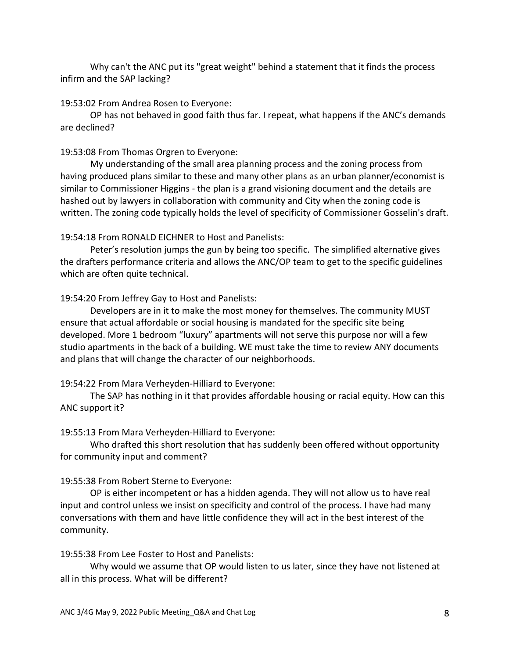Why can't the ANC put its "great weight" behind a statement that it finds the process infirm and the SAP lacking?

#### 19:53:02 From Andrea Rosen to Everyone:

OP has not behaved in good faith thus far. I repeat, what happens if the ANC's demands are declined?

#### 19:53:08 From Thomas Orgren to Everyone:

My understanding of the small area planning process and the zoning process from having produced plans similar to these and many other plans as an urban planner/economist is similar to Commissioner Higgins - the plan is a grand visioning document and the details are hashed out by lawyers in collaboration with community and City when the zoning code is written. The zoning code typically holds the level of specificity of Commissioner Gosselin's draft.

#### 19:54:18 From RONALD EICHNER to Host and Panelists:

Peter's resolution jumps the gun by being too specific. The simplified alternative gives the drafters performance criteria and allows the ANC/OP team to get to the specific guidelines which are often quite technical.

#### 19:54:20 From Jeffrey Gay to Host and Panelists:

Developers are in it to make the most money for themselves. The community MUST ensure that actual affordable or social housing is mandated for the specific site being developed. More 1 bedroom "luxury" apartments will not serve this purpose nor will a few studio apartments in the back of a building. WE must take the time to review ANY documents and plans that will change the character of our neighborhoods.

#### 19:54:22 From Mara Verheyden-Hilliard to Everyone:

The SAP has nothing in it that provides affordable housing or racial equity. How can this ANC support it?

#### 19:55:13 From Mara Verheyden-Hilliard to Everyone:

Who drafted this short resolution that has suddenly been offered without opportunity for community input and comment?

#### 19:55:38 From Robert Sterne to Everyone:

OP is either incompetent or has a hidden agenda. They will not allow us to have real input and control unless we insist on specificity and control of the process. I have had many conversations with them and have little confidence they will act in the best interest of the community.

#### 19:55:38 From Lee Foster to Host and Panelists:

Why would we assume that OP would listen to us later, since they have not listened at all in this process. What will be different?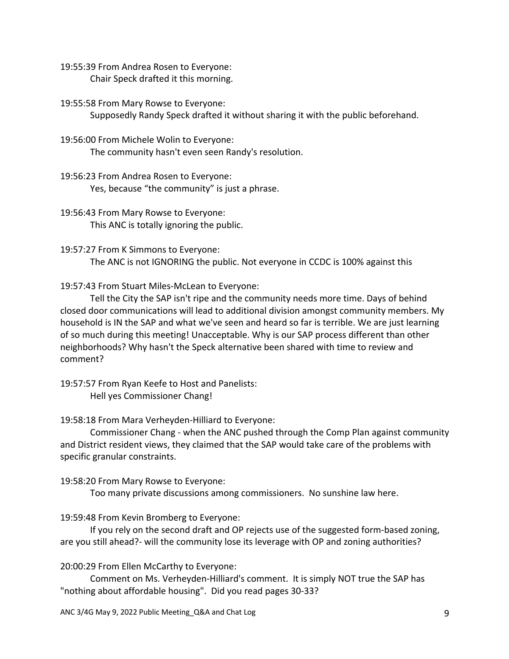19:55:39 From Andrea Rosen to Everyone: Chair Speck drafted it this morning.

19:55:58 From Mary Rowse to Everyone: Supposedly Randy Speck drafted it without sharing it with the public beforehand.

- 19:56:00 From Michele Wolin to Everyone: The community hasn't even seen Randy's resolution.
- 19:56:23 From Andrea Rosen to Everyone: Yes, because "the community" is just a phrase.
- 19:56:43 From Mary Rowse to Everyone: This ANC is totally ignoring the public.

19:57:27 From K Simmons to Everyone: The ANC is not IGNORING the public. Not everyone in CCDC is 100% against this

19:57:43 From Stuart Miles-McLean to Everyone:

Tell the City the SAP isn't ripe and the community needs more time. Days of behind closed door communications will lead to additional division amongst community members. My household is IN the SAP and what we've seen and heard so far is terrible. We are just learning of so much during this meeting! Unacceptable. Why is our SAP process different than other neighborhoods? Why hasn't the Speck alternative been shared with time to review and comment?

19:57:57 From Ryan Keefe to Host and Panelists: Hell yes Commissioner Chang!

## 19:58:18 From Mara Verheyden-Hilliard to Everyone:

Commissioner Chang - when the ANC pushed through the Comp Plan against community and District resident views, they claimed that the SAP would take care of the problems with specific granular constraints.

## 19:58:20 From Mary Rowse to Everyone:

Too many private discussions among commissioners. No sunshine law here.

19:59:48 From Kevin Bromberg to Everyone:

If you rely on the second draft and OP rejects use of the suggested form-based zoning, are you still ahead?- will the community lose its leverage with OP and zoning authorities?

20:00:29 From Ellen McCarthy to Everyone:

Comment on Ms. Verheyden-Hilliard's comment. It is simply NOT true the SAP has "nothing about affordable housing". Did you read pages 30-33?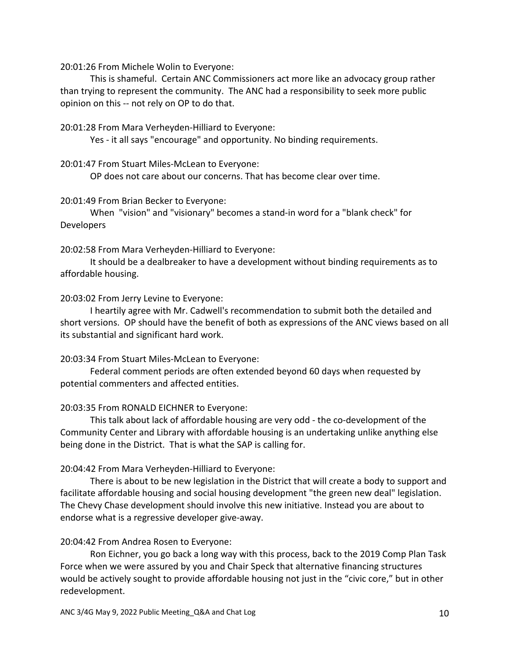20:01:26 From Michele Wolin to Everyone:

This is shameful. Certain ANC Commissioners act more like an advocacy group rather than trying to represent the community. The ANC had a responsibility to seek more public opinion on this -- not rely on OP to do that.

20:01:28 From Mara Verheyden-Hilliard to Everyone:

Yes - it all says "encourage" and opportunity. No binding requirements.

#### 20:01:47 From Stuart Miles-McLean to Everyone:

OP does not care about our concerns. That has become clear over time.

#### 20:01:49 From Brian Becker to Everyone:

When "vision" and "visionary" becomes a stand-in word for a "blank check" for Developers

20:02:58 From Mara Verheyden-Hilliard to Everyone:

It should be a dealbreaker to have a development without binding requirements as to affordable housing.

#### 20:03:02 From Jerry Levine to Everyone:

I heartily agree with Mr. Cadwell's recommendation to submit both the detailed and short versions. OP should have the benefit of both as expressions of the ANC views based on all its substantial and significant hard work.

## 20:03:34 From Stuart Miles-McLean to Everyone:

Federal comment periods are often extended beyond 60 days when requested by potential commenters and affected entities.

## 20:03:35 From RONALD EICHNER to Everyone:

This talk about lack of affordable housing are very odd - the co-development of the Community Center and Library with affordable housing is an undertaking unlike anything else being done in the District. That is what the SAP is calling for.

## 20:04:42 From Mara Verheyden-Hilliard to Everyone:

There is about to be new legislation in the District that will create a body to support and facilitate affordable housing and social housing development "the green new deal" legislation. The Chevy Chase development should involve this new initiative. Instead you are about to endorse what is a regressive developer give-away.

## 20:04:42 From Andrea Rosen to Everyone:

Ron Eichner, you go back a long way with this process, back to the 2019 Comp Plan Task Force when we were assured by you and Chair Speck that alternative financing structures would be actively sought to provide affordable housing not just in the "civic core," but in other redevelopment.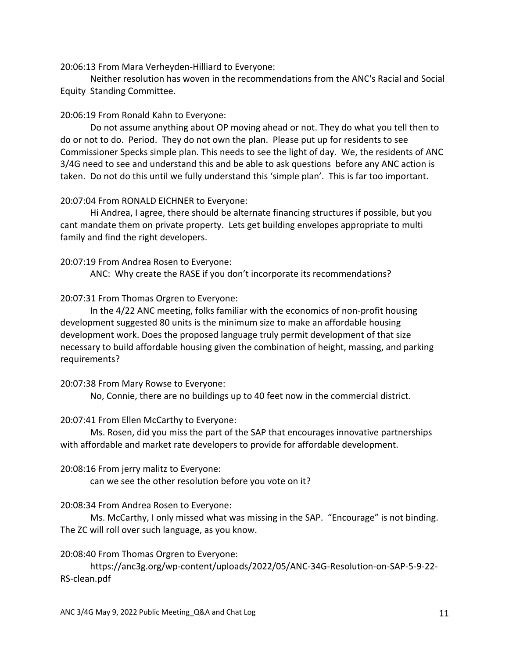20:06:13 From Mara Verheyden-Hilliard to Everyone:

Neither resolution has woven in the recommendations from the ANC's Racial and Social Equity Standing Committee.

#### 20:06:19 From Ronald Kahn to Everyone:

Do not assume anything about OP moving ahead or not. They do what you tell then to do or not to do. Period. They do not own the plan. Please put up for residents to see Commissioner Specks simple plan. This needs to see the light of day. We, the residents of ANC 3/4G need to see and understand this and be able to ask questions before any ANC action is taken. Do not do this until we fully understand this 'simple plan'. This is far too important.

#### 20:07:04 From RONALD EICHNER to Everyone:

Hi Andrea, I agree, there should be alternate financing structures if possible, but you cant mandate them on private property. Lets get building envelopes appropriate to multi family and find the right developers.

#### 20:07:19 From Andrea Rosen to Everyone:

ANC: Why create the RASE if you don't incorporate its recommendations?

20:07:31 From Thomas Orgren to Everyone:

In the 4/22 ANC meeting, folks familiar with the economics of non-profit housing development suggested 80 units is the minimum size to make an affordable housing development work. Does the proposed language truly permit development of that size necessary to build affordable housing given the combination of height, massing, and parking requirements?

#### 20:07:38 From Mary Rowse to Everyone:

No, Connie, there are no buildings up to 40 feet now in the commercial district.

## 20:07:41 From Ellen McCarthy to Everyone:

Ms. Rosen, did you miss the part of the SAP that encourages innovative partnerships with affordable and market rate developers to provide for affordable development.

## 20:08:16 From jerry malitz to Everyone:

can we see the other resolution before you vote on it?

## 20:08:34 From Andrea Rosen to Everyone:

Ms. McCarthy, I only missed what was missing in the SAP. "Encourage" is not binding. The ZC will roll over such language, as you know.

## 20:08:40 From Thomas Orgren to Everyone:

https://anc3g.org/wp-content/uploads/2022/05/ANC-34G-Resolution-on-SAP-5-9-22- RS-clean.pdf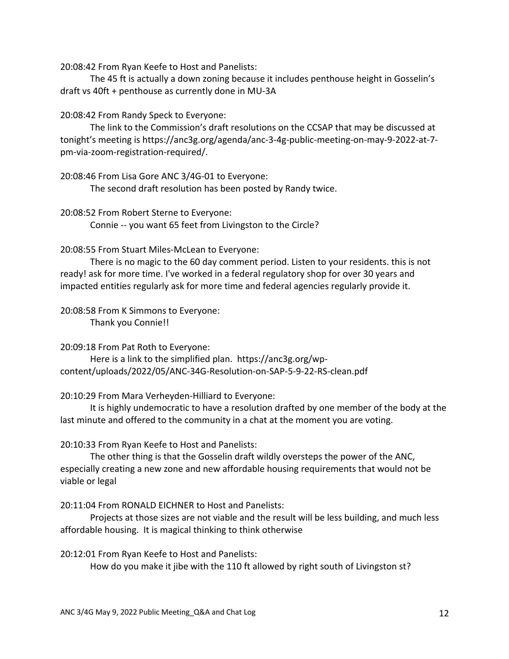20:08:42 From Ryan Keefe to Host and Panelists:

The 45 ft is actually a down zoning because it includes penthouse height in Gosselin's draft vs 40ft + penthouse as currently done in MU-3A

## 20:08:42 From Randy Speck to Everyone:

The link to the Commission's draft resolutions on the CCSAP that may be discussed at tonight's meeting is https://anc3g.org/agenda/anc-3-4g-public-meeting-on-may-9-2022-at-7 pm-via-zoom-registration-required/.

20:08:46 From Lisa Gore ANC 3/4G-01 to Everyone: The second draft resolution has been posted by Randy twice.

20:08:52 From Robert Sterne to Everyone:

Connie -- you want 65 feet from Livingston to the Circle?

#### 20:08:55 From Stuart Miles-McLean to Everyone:

There is no magic to the 60 day comment period. Listen to your residents. this is not ready! ask for more time. I've worked in a federal regulatory shop for over 30 years and impacted entities regularly ask for more time and federal agencies regularly provide it.

#### 20:08:58 From K Simmons to Everyone: Thank you Connie!!

20:09:18 From Pat Roth to Everyone:

Here is a link to the simplified plan. https://anc3g.org/wpcontent/uploads/2022/05/ANC-34G-Resolution-on-SAP-5-9-22-RS-clean.pdf

20:10:29 From Mara Verheyden-Hilliard to Everyone:

It is highly undemocratic to have a resolution drafted by one member of the body at the last minute and offered to the community in a chat at the moment you are voting.

## 20:10:33 From Ryan Keefe to Host and Panelists:

The other thing is that the Gosselin draft wildly oversteps the power of the ANC, especially creating a new zone and new affordable housing requirements that would not be viable or legal

20:11:04 From RONALD EICHNER to Host and Panelists:

Projects at those sizes are not viable and the result will be less building, and much less affordable housing. It is magical thinking to think otherwise

#### 20:12:01 From Ryan Keefe to Host and Panelists:

How do you make it jibe with the 110 ft allowed by right south of Livingston st?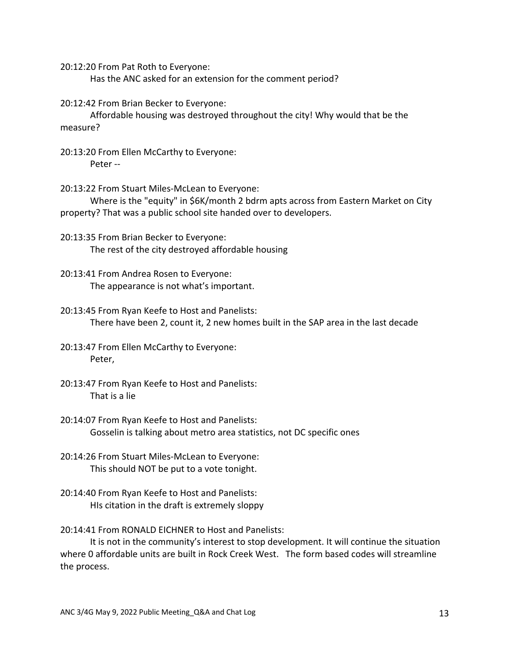20:12:20 From Pat Roth to Everyone:

Has the ANC asked for an extension for the comment period?

20:12:42 From Brian Becker to Everyone:

Affordable housing was destroyed throughout the city! Why would that be the measure?

20:13:20 From Ellen McCarthy to Everyone: Peter --

20:13:22 From Stuart Miles-McLean to Everyone:

Where is the "equity" in \$6K/month 2 bdrm apts across from Eastern Market on City property? That was a public school site handed over to developers.

20:13:35 From Brian Becker to Everyone: The rest of the city destroyed affordable housing

- 20:13:41 From Andrea Rosen to Everyone: The appearance is not what's important.
- 20:13:45 From Ryan Keefe to Host and Panelists: There have been 2, count it, 2 new homes built in the SAP area in the last decade

20:13:47 From Ellen McCarthy to Everyone: Peter,

- 20:13:47 From Ryan Keefe to Host and Panelists: That is a lie
- 20:14:07 From Ryan Keefe to Host and Panelists: Gosselin is talking about metro area statistics, not DC specific ones
- 20:14:26 From Stuart Miles-McLean to Everyone: This should NOT be put to a vote tonight.
- 20:14:40 From Ryan Keefe to Host and Panelists: HIs citation in the draft is extremely sloppy

20:14:41 From RONALD EICHNER to Host and Panelists:

It is not in the community's interest to stop development. It will continue the situation where 0 affordable units are built in Rock Creek West. The form based codes will streamline the process.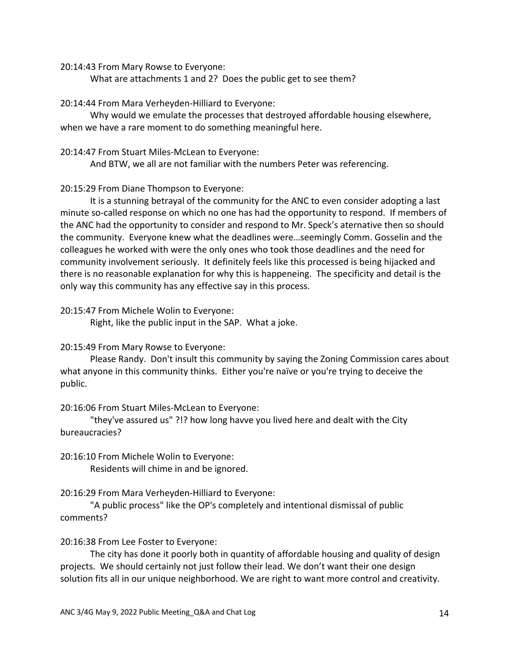20:14:43 From Mary Rowse to Everyone:

What are attachments 1 and 2? Does the public get to see them?

20:14:44 From Mara Verheyden-Hilliard to Everyone:

Why would we emulate the processes that destroyed affordable housing elsewhere, when we have a rare moment to do something meaningful here.

#### 20:14:47 From Stuart Miles-McLean to Everyone:

And BTW, we all are not familiar with the numbers Peter was referencing.

## 20:15:29 From Diane Thompson to Everyone:

It is a stunning betrayal of the community for the ANC to even consider adopting a last minute so-called response on which no one has had the opportunity to respond. If members of the ANC had the opportunity to consider and respond to Mr. Speck's aternative then so should the community. Everyone knew what the deadlines were…seemingly Comm. Gosselin and the colleagues he worked with were the only ones who took those deadlines and the need for community involvement seriously. It definitely feels like this processed is being hijacked and there is no reasonable explanation for why this is happeneing. The specificity and detail is the only way this community has any effective say in this process.

## 20:15:47 From Michele Wolin to Everyone:

Right, like the public input in the SAP. What a joke.

## 20:15:49 From Mary Rowse to Everyone:

Please Randy. Don't insult this community by saying the Zoning Commission cares about what anyone in this community thinks. Either you're naïve or you're trying to deceive the public.

## 20:16:06 From Stuart Miles-McLean to Everyone:

"they've assured us" ?!? how long havve you lived here and dealt with the City bureaucracies?

20:16:10 From Michele Wolin to Everyone: Residents will chime in and be ignored.

20:16:29 From Mara Verheyden-Hilliard to Everyone:

"A public process" like the OP's completely and intentional dismissal of public comments?

## 20:16:38 From Lee Foster to Everyone:

The city has done it poorly both in quantity of affordable housing and quality of design projects. We should certainly not just follow their lead. We don't want their one design solution fits all in our unique neighborhood. We are right to want more control and creativity.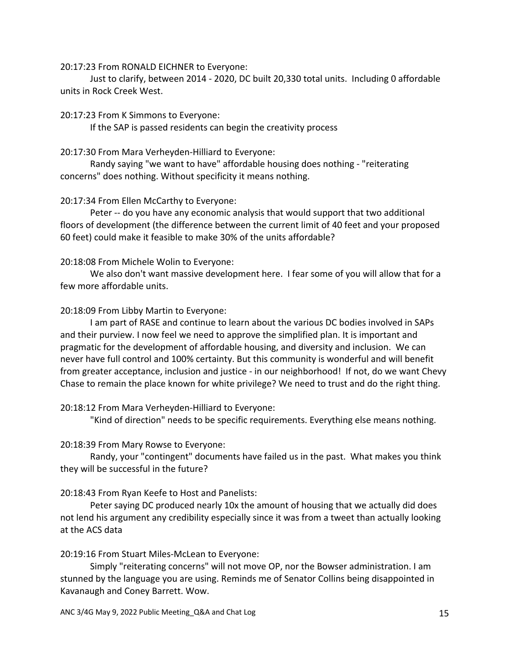20:17:23 From RONALD EICHNER to Everyone:

Just to clarify, between 2014 - 2020, DC built 20,330 total units. Including 0 affordable units in Rock Creek West.

#### 20:17:23 From K Simmons to Everyone:

If the SAP is passed residents can begin the creativity process

#### 20:17:30 From Mara Verheyden-Hilliard to Everyone:

Randy saying "we want to have" affordable housing does nothing - "reiterating concerns" does nothing. Without specificity it means nothing.

## 20:17:34 From Ellen McCarthy to Everyone:

Peter -- do you have any economic analysis that would support that two additional floors of development (the difference between the current limit of 40 feet and your proposed 60 feet) could make it feasible to make 30% of the units affordable?

## 20:18:08 From Michele Wolin to Everyone:

We also don't want massive development here. I fear some of you will allow that for a few more affordable units.

## 20:18:09 From Libby Martin to Everyone:

I am part of RASE and continue to learn about the various DC bodies involved in SAPs and their purview. I now feel we need to approve the simplified plan. It is important and pragmatic for the development of affordable housing, and diversity and inclusion. We can never have full control and 100% certainty. But this community is wonderful and will benefit from greater acceptance, inclusion and justice - in our neighborhood! If not, do we want Chevy Chase to remain the place known for white privilege? We need to trust and do the right thing.

## 20:18:12 From Mara Verheyden-Hilliard to Everyone:

"Kind of direction" needs to be specific requirements. Everything else means nothing.

## 20:18:39 From Mary Rowse to Everyone:

Randy, your "contingent" documents have failed us in the past. What makes you think they will be successful in the future?

## 20:18:43 From Ryan Keefe to Host and Panelists:

Peter saying DC produced nearly 10x the amount of housing that we actually did does not lend his argument any credibility especially since it was from a tweet than actually looking at the ACS data

## 20:19:16 From Stuart Miles-McLean to Everyone:

Simply "reiterating concerns" will not move OP, nor the Bowser administration. I am stunned by the language you are using. Reminds me of Senator Collins being disappointed in Kavanaugh and Coney Barrett. Wow.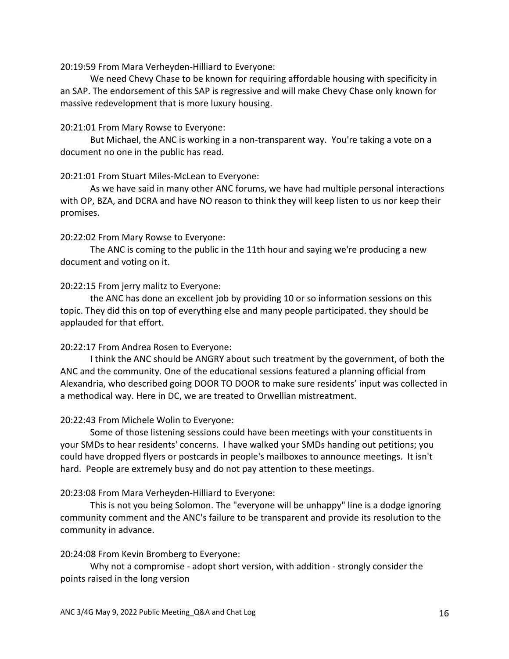20:19:59 From Mara Verheyden-Hilliard to Everyone:

We need Chevy Chase to be known for requiring affordable housing with specificity in an SAP. The endorsement of this SAP is regressive and will make Chevy Chase only known for massive redevelopment that is more luxury housing.

#### 20:21:01 From Mary Rowse to Everyone:

But Michael, the ANC is working in a non-transparent way. You're taking a vote on a document no one in the public has read.

#### 20:21:01 From Stuart Miles-McLean to Everyone:

As we have said in many other ANC forums, we have had multiple personal interactions with OP, BZA, and DCRA and have NO reason to think they will keep listen to us nor keep their promises.

#### 20:22:02 From Mary Rowse to Everyone:

The ANC is coming to the public in the 11th hour and saying we're producing a new document and voting on it.

#### 20:22:15 From jerry malitz to Everyone:

the ANC has done an excellent job by providing 10 or so information sessions on this topic. They did this on top of everything else and many people participated. they should be applauded for that effort.

#### 20:22:17 From Andrea Rosen to Everyone:

I think the ANC should be ANGRY about such treatment by the government, of both the ANC and the community. One of the educational sessions featured a planning official from Alexandria, who described going DOOR TO DOOR to make sure residents' input was collected in a methodical way. Here in DC, we are treated to Orwellian mistreatment.

#### 20:22:43 From Michele Wolin to Everyone:

Some of those listening sessions could have been meetings with your constituents in your SMDs to hear residents' concerns. I have walked your SMDs handing out petitions; you could have dropped flyers or postcards in people's mailboxes to announce meetings. It isn't hard. People are extremely busy and do not pay attention to these meetings.

#### 20:23:08 From Mara Verheyden-Hilliard to Everyone:

This is not you being Solomon. The "everyone will be unhappy" line is a dodge ignoring community comment and the ANC's failure to be transparent and provide its resolution to the community in advance.

#### 20:24:08 From Kevin Bromberg to Everyone:

Why not a compromise - adopt short version, with addition - strongly consider the points raised in the long version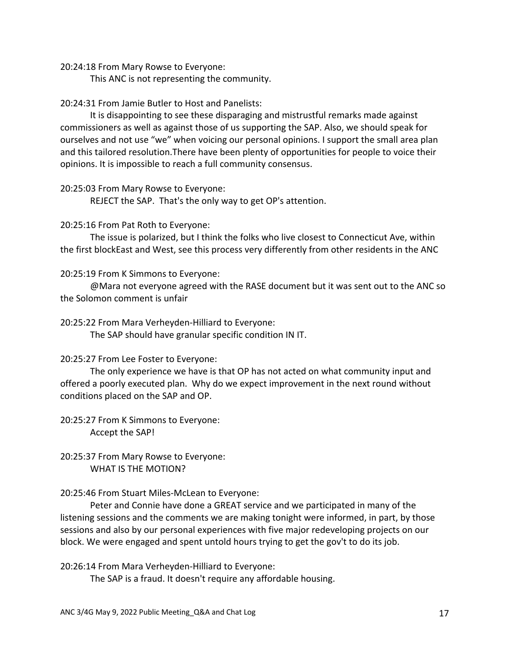20:24:18 From Mary Rowse to Everyone:

This ANC is not representing the community.

## 20:24:31 From Jamie Butler to Host and Panelists:

It is disappointing to see these disparaging and mistrustful remarks made against commissioners as well as against those of us supporting the SAP. Also, we should speak for ourselves and not use "we" when voicing our personal opinions. I support the small area plan and this tailored resolution.There have been plenty of opportunities for people to voice their opinions. It is impossible to reach a full community consensus.

#### 20:25:03 From Mary Rowse to Everyone:

REJECT the SAP. That's the only way to get OP's attention.

#### 20:25:16 From Pat Roth to Everyone:

The issue is polarized, but I think the folks who live closest to Connecticut Ave, within the first blockEast and West, see this process very differently from other residents in the ANC

#### 20:25:19 From K Simmons to Everyone:

@Mara not everyone agreed with the RASE document but it was sent out to the ANC so the Solomon comment is unfair

#### 20:25:22 From Mara Verheyden-Hilliard to Everyone:

The SAP should have granular specific condition IN IT.

## 20:25:27 From Lee Foster to Everyone:

The only experience we have is that OP has not acted on what community input and offered a poorly executed plan. Why do we expect improvement in the next round without conditions placed on the SAP and OP.

20:25:27 From K Simmons to Everyone: Accept the SAP!

20:25:37 From Mary Rowse to Everyone: WHAT IS THE MOTION?

20:25:46 From Stuart Miles-McLean to Everyone:

Peter and Connie have done a GREAT service and we participated in many of the listening sessions and the comments we are making tonight were informed, in part, by those sessions and also by our personal experiences with five major redeveloping projects on our block. We were engaged and spent untold hours trying to get the gov't to do its job.

20:26:14 From Mara Verheyden-Hilliard to Everyone:

The SAP is a fraud. It doesn't require any affordable housing.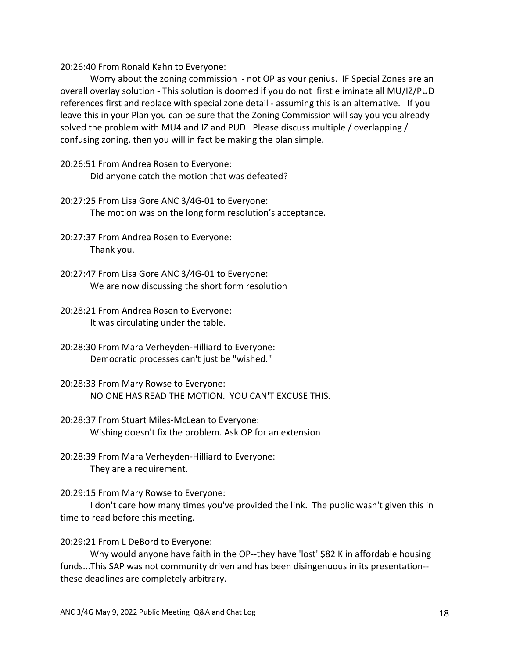20:26:40 From Ronald Kahn to Everyone:

Worry about the zoning commission - not OP as your genius. IF Special Zones are an overall overlay solution - This solution is doomed if you do not first eliminate all MU/IZ/PUD references first and replace with special zone detail - assuming this is an alternative. If you leave this in your Plan you can be sure that the Zoning Commission will say you you already solved the problem with MU4 and IZ and PUD. Please discuss multiple / overlapping / confusing zoning. then you will in fact be making the plan simple.

- 20:26:51 From Andrea Rosen to Everyone: Did anyone catch the motion that was defeated?
- 20:27:25 From Lisa Gore ANC 3/4G-01 to Everyone: The motion was on the long form resolution's acceptance.
- 20:27:37 From Andrea Rosen to Everyone: Thank you.
- 20:27:47 From Lisa Gore ANC 3/4G-01 to Everyone: We are now discussing the short form resolution
- 20:28:21 From Andrea Rosen to Everyone: It was circulating under the table.
- 20:28:30 From Mara Verheyden-Hilliard to Everyone: Democratic processes can't just be "wished."
- 20:28:33 From Mary Rowse to Everyone: NO ONE HAS READ THE MOTION. YOU CAN'T EXCUSE THIS.
- 20:28:37 From Stuart Miles-McLean to Everyone: Wishing doesn't fix the problem. Ask OP for an extension
- 20:28:39 From Mara Verheyden-Hilliard to Everyone: They are a requirement.

20:29:15 From Mary Rowse to Everyone:

I don't care how many times you've provided the link. The public wasn't given this in time to read before this meeting.

#### 20:29:21 From L DeBord to Everyone:

Why would anyone have faith in the OP--they have 'lost' \$82 K in affordable housing funds...This SAP was not community driven and has been disingenuous in its presentation- these deadlines are completely arbitrary.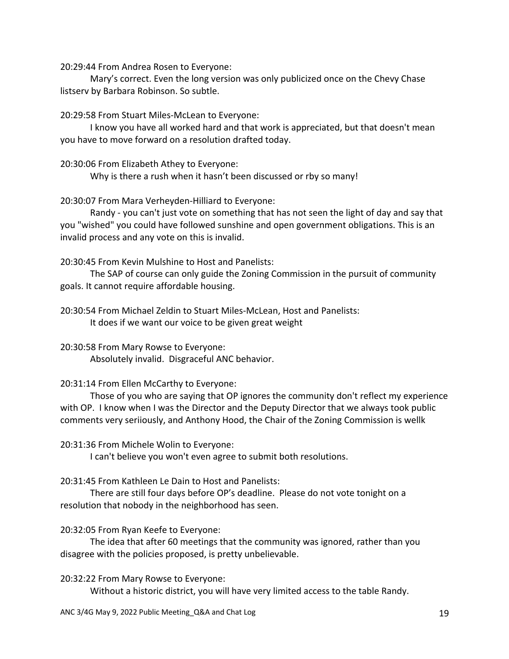20:29:44 From Andrea Rosen to Everyone:

Mary's correct. Even the long version was only publicized once on the Chevy Chase listserv by Barbara Robinson. So subtle.

20:29:58 From Stuart Miles-McLean to Everyone:

I know you have all worked hard and that work is appreciated, but that doesn't mean you have to move forward on a resolution drafted today.

20:30:06 From Elizabeth Athey to Everyone:

Why is there a rush when it hasn't been discussed or rby so many!

20:30:07 From Mara Verheyden-Hilliard to Everyone:

Randy - you can't just vote on something that has not seen the light of day and say that you "wished" you could have followed sunshine and open government obligations. This is an invalid process and any vote on this is invalid.

20:30:45 From Kevin Mulshine to Host and Panelists:

The SAP of course can only guide the Zoning Commission in the pursuit of community goals. It cannot require affordable housing.

20:30:54 From Michael Zeldin to Stuart Miles-McLean, Host and Panelists: It does if we want our voice to be given great weight

20:30:58 From Mary Rowse to Everyone: Absolutely invalid. Disgraceful ANC behavior.

20:31:14 From Ellen McCarthy to Everyone:

Those of you who are saying that OP ignores the community don't reflect my experience with OP. I know when I was the Director and the Deputy Director that we always took public comments very seriiously, and Anthony Hood, the Chair of the Zoning Commission is wellk

20:31:36 From Michele Wolin to Everyone:

I can't believe you won't even agree to submit both resolutions.

20:31:45 From Kathleen Le Dain to Host and Panelists:

There are still four days before OP's deadline. Please do not vote tonight on a resolution that nobody in the neighborhood has seen.

20:32:05 From Ryan Keefe to Everyone:

The idea that after 60 meetings that the community was ignored, rather than you disagree with the policies proposed, is pretty unbelievable.

20:32:22 From Mary Rowse to Everyone:

Without a historic district, you will have very limited access to the table Randy.

ANC 3/4G May 9, 2022 Public Meeting\_Q&A and Chat Log 19 19 19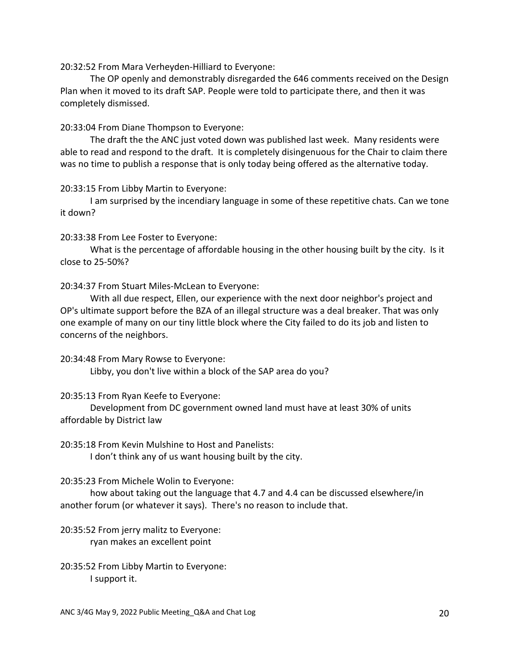20:32:52 From Mara Verheyden-Hilliard to Everyone:

The OP openly and demonstrably disregarded the 646 comments received on the Design Plan when it moved to its draft SAP. People were told to participate there, and then it was completely dismissed.

#### 20:33:04 From Diane Thompson to Everyone:

The draft the the ANC just voted down was published last week. Many residents were able to read and respond to the draft. It is completely disingenuous for the Chair to claim there was no time to publish a response that is only today being offered as the alternative today.

#### 20:33:15 From Libby Martin to Everyone:

I am surprised by the incendiary language in some of these repetitive chats. Can we tone it down?

20:33:38 From Lee Foster to Everyone:

What is the percentage of affordable housing in the other housing built by the city. Is it close to 25-50%?

20:34:37 From Stuart Miles-McLean to Everyone:

With all due respect, Ellen, our experience with the next door neighbor's project and OP's ultimate support before the BZA of an illegal structure was a deal breaker. That was only one example of many on our tiny little block where the City failed to do its job and listen to concerns of the neighbors.

20:34:48 From Mary Rowse to Everyone: Libby, you don't live within a block of the SAP area do you?

## 20:35:13 From Ryan Keefe to Everyone:

Development from DC government owned land must have at least 30% of units affordable by District law

20:35:18 From Kevin Mulshine to Host and Panelists: I don't think any of us want housing built by the city.

20:35:23 From Michele Wolin to Everyone:

how about taking out the language that 4.7 and 4.4 can be discussed elsewhere/in another forum (or whatever it says). There's no reason to include that.

20:35:52 From jerry malitz to Everyone: ryan makes an excellent point

20:35:52 From Libby Martin to Everyone: I support it.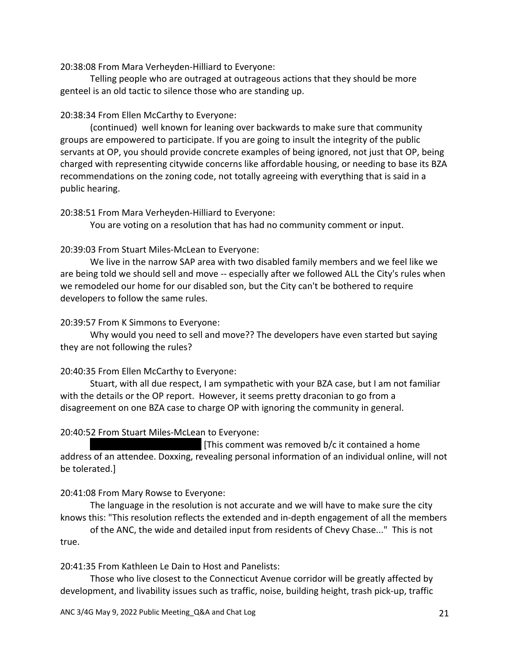20:38:08 From Mara Verheyden-Hilliard to Everyone:

Telling people who are outraged at outrageous actions that they should be more genteel is an old tactic to silence those who are standing up.

#### 20:38:34 From Ellen McCarthy to Everyone:

(continued) well known for leaning over backwards to make sure that community groups are empowered to participate. If you are going to insult the integrity of the public servants at OP, you should provide concrete examples of being ignored, not just that OP, being charged with representing citywide concerns like affordable housing, or needing to base its BZA recommendations on the zoning code, not totally agreeing with everything that is said in a public hearing.

#### 20:38:51 From Mara Verheyden-Hilliard to Everyone:

You are voting on a resolution that has had no community comment or input.

## 20:39:03 From Stuart Miles-McLean to Everyone:

We live in the narrow SAP area with two disabled family members and we feel like we are being told we should sell and move -- especially after we followed ALL the City's rules when we remodeled our home for our disabled son, but the City can't be bothered to require developers to follow the same rules.

#### 20:39:57 From K Simmons to Everyone:

Why would you need to sell and move?? The developers have even started but saying they are not following the rules?

## 20:40:35 From Ellen McCarthy to Everyone:

Stuart, with all due respect, I am sympathetic with your BZA case, but I am not familiar with the details or the OP report. However, it seems pretty draconian to go from a disagreement on one BZA case to charge OP with ignoring the community in general.

#### 20:40:52 From Stuart Miles-McLean to Everyone:

If This comment was removed  $b/c$  it contained a home address of an attendee. Doxxing, revealing personal information of an individual online, will not be tolerated.]

## 20:41:08 From Mary Rowse to Everyone:

The language in the resolution is not accurate and we will have to make sure the city knows this: "This resolution reflects the extended and in-depth engagement of all the members

of the ANC, the wide and detailed input from residents of Chevy Chase..." This is not true.

20:41:35 From Kathleen Le Dain to Host and Panelists:

Those who live closest to the Connecticut Avenue corridor will be greatly affected by development, and livability issues such as traffic, noise, building height, trash pick-up, traffic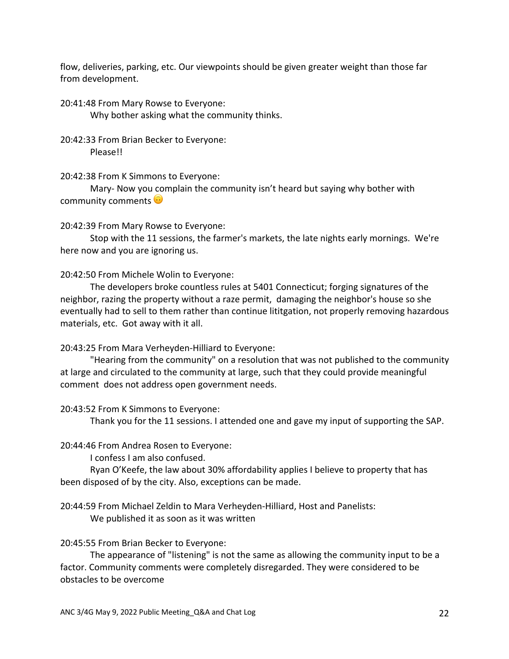flow, deliveries, parking, etc. Our viewpoints should be given greater weight than those far from development.

20:41:48 From Mary Rowse to Everyone: Why bother asking what the community thinks.

20:42:33 From Brian Becker to Everyone: Please!!

20:42:38 From K Simmons to Everyone:

Mary- Now you complain the community isn't heard but saying why bother with community comments  $\odot$ 

20:42:39 From Mary Rowse to Everyone:

Stop with the 11 sessions, the farmer's markets, the late nights early mornings. We're here now and you are ignoring us.

20:42:50 From Michele Wolin to Everyone:

The developers broke countless rules at 5401 Connecticut; forging signatures of the neighbor, razing the property without a raze permit, damaging the neighbor's house so she eventually had to sell to them rather than continue lititgation, not properly removing hazardous materials, etc. Got away with it all.

20:43:25 From Mara Verheyden-Hilliard to Everyone:

"Hearing from the community" on a resolution that was not published to the community at large and circulated to the community at large, such that they could provide meaningful comment does not address open government needs.

20:43:52 From K Simmons to Everyone:

Thank you for the 11 sessions. I attended one and gave my input of supporting the SAP.

20:44:46 From Andrea Rosen to Everyone:

I confess I am also confused.

Ryan O'Keefe, the law about 30% affordability applies I believe to property that has been disposed of by the city. Also, exceptions can be made.

20:44:59 From Michael Zeldin to Mara Verheyden-Hilliard, Host and Panelists: We published it as soon as it was written

#### 20:45:55 From Brian Becker to Everyone:

The appearance of "listening" is not the same as allowing the community input to be a factor. Community comments were completely disregarded. They were considered to be obstacles to be overcome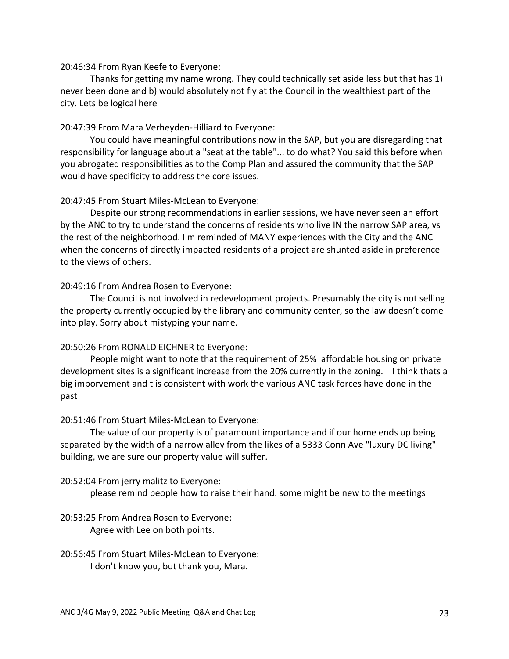#### 20:46:34 From Ryan Keefe to Everyone:

Thanks for getting my name wrong. They could technically set aside less but that has 1) never been done and b) would absolutely not fly at the Council in the wealthiest part of the city. Lets be logical here

#### 20:47:39 From Mara Verheyden-Hilliard to Everyone:

You could have meaningful contributions now in the SAP, but you are disregarding that responsibility for language about a "seat at the table"... to do what? You said this before when you abrogated responsibilities as to the Comp Plan and assured the community that the SAP would have specificity to address the core issues.

## 20:47:45 From Stuart Miles-McLean to Everyone:

Despite our strong recommendations in earlier sessions, we have never seen an effort by the ANC to try to understand the concerns of residents who live IN the narrow SAP area, vs the rest of the neighborhood. I'm reminded of MANY experiences with the City and the ANC when the concerns of directly impacted residents of a project are shunted aside in preference to the views of others.

#### 20:49:16 From Andrea Rosen to Everyone:

The Council is not involved in redevelopment projects. Presumably the city is not selling the property currently occupied by the library and community center, so the law doesn't come into play. Sorry about mistyping your name.

#### 20:50:26 From RONALD EICHNER to Everyone:

People might want to note that the requirement of 25% affordable housing on private development sites is a significant increase from the 20% currently in the zoning. I think thats a big imporvement and t is consistent with work the various ANC task forces have done in the past

#### 20:51:46 From Stuart Miles-McLean to Everyone:

The value of our property is of paramount importance and if our home ends up being separated by the width of a narrow alley from the likes of a 5333 Conn Ave "luxury DC living" building, we are sure our property value will suffer.

#### 20:52:04 From jerry malitz to Everyone:

please remind people how to raise their hand. some might be new to the meetings

## 20:53:25 From Andrea Rosen to Everyone: Agree with Lee on both points.

20:56:45 From Stuart Miles-McLean to Everyone: I don't know you, but thank you, Mara.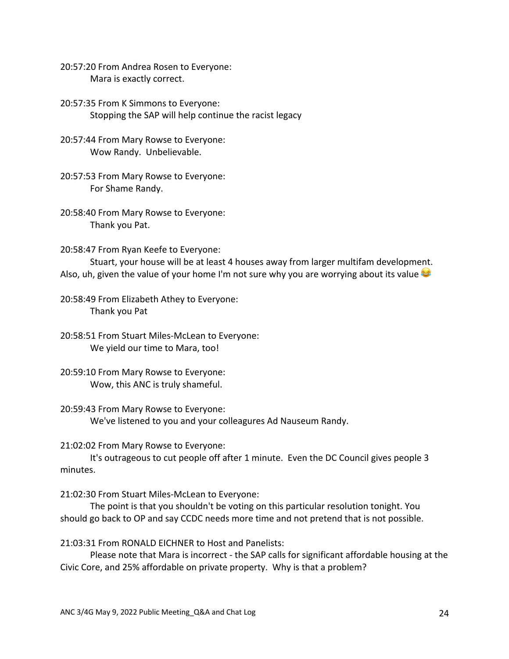20:57:20 From Andrea Rosen to Everyone: Mara is exactly correct.

20:57:35 From K Simmons to Everyone: Stopping the SAP will help continue the racist legacy

- 20:57:44 From Mary Rowse to Everyone: Wow Randy. Unbelievable.
- 20:57:53 From Mary Rowse to Everyone: For Shame Randy.
- 20:58:40 From Mary Rowse to Everyone: Thank you Pat.

20:58:47 From Ryan Keefe to Everyone:

Stuart, your house will be at least 4 houses away from larger multifam development. Also, uh, given the value of your home I'm not sure why you are worrying about its value

20:58:49 From Elizabeth Athey to Everyone: Thank you Pat

20:58:51 From Stuart Miles-McLean to Everyone: We yield our time to Mara, too!

20:59:10 From Mary Rowse to Everyone: Wow, this ANC is truly shameful.

20:59:43 From Mary Rowse to Everyone: We've listened to you and your colleagures Ad Nauseum Randy.

21:02:02 From Mary Rowse to Everyone:

It's outrageous to cut people off after 1 minute. Even the DC Council gives people 3 minutes.

21:02:30 From Stuart Miles-McLean to Everyone:

The point is that you shouldn't be voting on this particular resolution tonight. You should go back to OP and say CCDC needs more time and not pretend that is not possible.

21:03:31 From RONALD EICHNER to Host and Panelists:

Please note that Mara is incorrect - the SAP calls for significant affordable housing at the Civic Core, and 25% affordable on private property. Why is that a problem?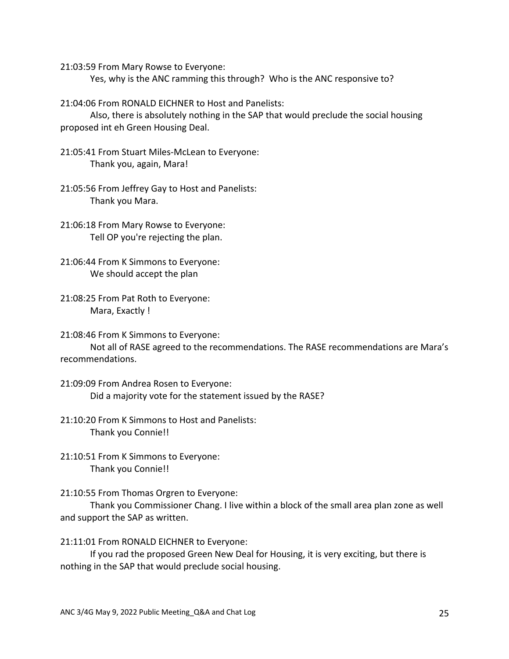21:03:59 From Mary Rowse to Everyone:

Yes, why is the ANC ramming this through? Who is the ANC responsive to?

21:04:06 From RONALD EICHNER to Host and Panelists:

Also, there is absolutely nothing in the SAP that would preclude the social housing proposed int eh Green Housing Deal.

- 21:05:41 From Stuart Miles-McLean to Everyone: Thank you, again, Mara!
- 21:05:56 From Jeffrey Gay to Host and Panelists: Thank you Mara.
- 21:06:18 From Mary Rowse to Everyone: Tell OP you're rejecting the plan.
- 21:06:44 From K Simmons to Everyone: We should accept the plan
- 21:08:25 From Pat Roth to Everyone: Mara, Exactly !

21:08:46 From K Simmons to Everyone: Not all of RASE agreed to the recommendations. The RASE recommendations are Mara's recommendations.

21:09:09 From Andrea Rosen to Everyone: Did a majority vote for the statement issued by the RASE?

21:10:20 From K Simmons to Host and Panelists: Thank you Connie!!

21:10:51 From K Simmons to Everyone: Thank you Connie!!

21:10:55 From Thomas Orgren to Everyone:

Thank you Commissioner Chang. I live within a block of the small area plan zone as well and support the SAP as written.

21:11:01 From RONALD EICHNER to Everyone:

If you rad the proposed Green New Deal for Housing, it is very exciting, but there is nothing in the SAP that would preclude social housing.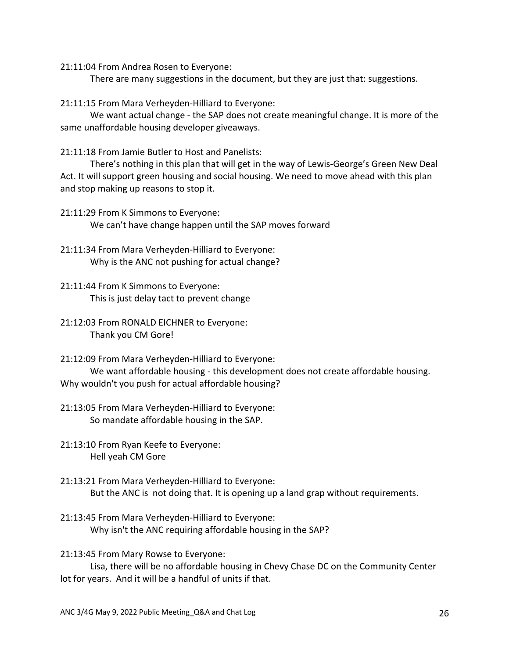21:11:04 From Andrea Rosen to Everyone:

There are many suggestions in the document, but they are just that: suggestions.

21:11:15 From Mara Verheyden-Hilliard to Everyone:

We want actual change - the SAP does not create meaningful change. It is more of the same unaffordable housing developer giveaways.

21:11:18 From Jamie Butler to Host and Panelists:

There's nothing in this plan that will get in the way of Lewis-George's Green New Deal Act. It will support green housing and social housing. We need to move ahead with this plan and stop making up reasons to stop it.

21:11:29 From K Simmons to Everyone: We can't have change happen until the SAP moves forward

- 21:11:34 From Mara Verheyden-Hilliard to Everyone: Why is the ANC not pushing for actual change?
- 21:11:44 From K Simmons to Everyone: This is just delay tact to prevent change
- 21:12:03 From RONALD EICHNER to Everyone: Thank you CM Gore!

21:12:09 From Mara Verheyden-Hilliard to Everyone: We want affordable housing - this development does not create affordable housing. Why wouldn't you push for actual affordable housing?

21:13:05 From Mara Verheyden-Hilliard to Everyone: So mandate affordable housing in the SAP.

21:13:10 From Ryan Keefe to Everyone: Hell yeah CM Gore

- 21:13:21 From Mara Verheyden-Hilliard to Everyone: But the ANC is not doing that. It is opening up a land grap without requirements.
- 21:13:45 From Mara Verheyden-Hilliard to Everyone: Why isn't the ANC requiring affordable housing in the SAP?

21:13:45 From Mary Rowse to Everyone:

Lisa, there will be no affordable housing in Chevy Chase DC on the Community Center lot for years. And it will be a handful of units if that.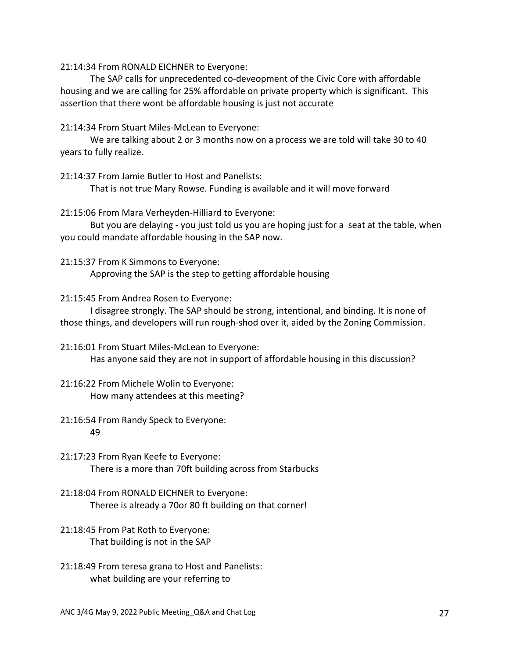21:14:34 From RONALD EICHNER to Everyone:

The SAP calls for unprecedented co-deveopment of the Civic Core with affordable housing and we are calling for 25% affordable on private property which is significant. This assertion that there wont be affordable housing is just not accurate

21:14:34 From Stuart Miles-McLean to Everyone:

We are talking about 2 or 3 months now on a process we are told will take 30 to 40 years to fully realize.

21:14:37 From Jamie Butler to Host and Panelists:

That is not true Mary Rowse. Funding is available and it will move forward

21:15:06 From Mara Verheyden-Hilliard to Everyone:

But you are delaying - you just told us you are hoping just for a seat at the table, when you could mandate affordable housing in the SAP now.

21:15:37 From K Simmons to Everyone: Approving the SAP is the step to getting affordable housing

21:15:45 From Andrea Rosen to Everyone:

I disagree strongly. The SAP should be strong, intentional, and binding. It is none of those things, and developers will run rough-shod over it, aided by the Zoning Commission.

21:16:01 From Stuart Miles-McLean to Everyone: Has anyone said they are not in support of affordable housing in this discussion?

21:16:22 From Michele Wolin to Everyone: How many attendees at this meeting?

# 21:16:54 From Randy Speck to Everyone: 49

- 21:17:23 From Ryan Keefe to Everyone: There is a more than 70ft building across from Starbucks
- 21:18:04 From RONALD EICHNER to Everyone: Theree is already a 70or 80 ft building on that corner!
- 21:18:45 From Pat Roth to Everyone: That building is not in the SAP
- 21:18:49 From teresa grana to Host and Panelists: what building are your referring to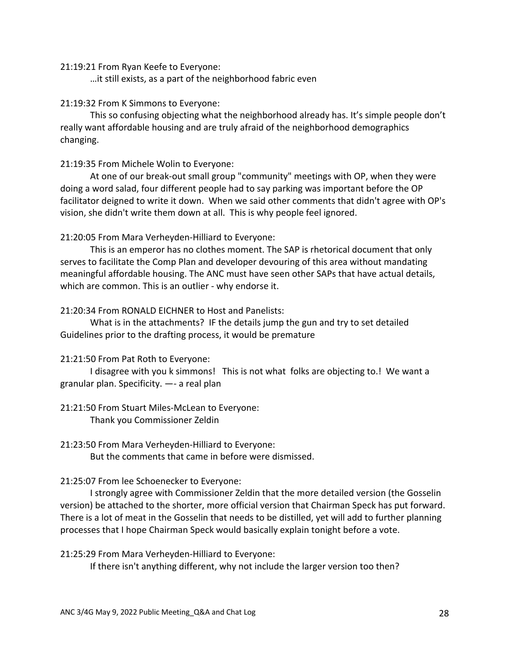#### 21:19:21 From Ryan Keefe to Everyone:

…it still exists, as a part of the neighborhood fabric even

#### 21:19:32 From K Simmons to Everyone:

This so confusing objecting what the neighborhood already has. It's simple people don't really want affordable housing and are truly afraid of the neighborhood demographics changing.

#### 21:19:35 From Michele Wolin to Everyone:

At one of our break-out small group "community" meetings with OP, when they were doing a word salad, four different people had to say parking was important before the OP facilitator deigned to write it down. When we said other comments that didn't agree with OP's vision, she didn't write them down at all. This is why people feel ignored.

## 21:20:05 From Mara Verheyden-Hilliard to Everyone:

This is an emperor has no clothes moment. The SAP is rhetorical document that only serves to facilitate the Comp Plan and developer devouring of this area without mandating meaningful affordable housing. The ANC must have seen other SAPs that have actual details, which are common. This is an outlier - why endorse it.

## 21:20:34 From RONALD EICHNER to Host and Panelists:

What is in the attachments? IF the details jump the gun and try to set detailed Guidelines prior to the drafting process, it would be premature

## 21:21:50 From Pat Roth to Everyone:

I disagree with you k simmons! This is not what folks are objecting to.! We want a granular plan. Specificity. —- a real plan

# 21:21:50 From Stuart Miles-McLean to Everyone: Thank you Commissioner Zeldin

21:23:50 From Mara Verheyden-Hilliard to Everyone:

But the comments that came in before were dismissed.

#### 21:25:07 From lee Schoenecker to Everyone:

I strongly agree with Commissioner Zeldin that the more detailed version (the Gosselin version) be attached to the shorter, more official version that Chairman Speck has put forward. There is a lot of meat in the Gosselin that needs to be distilled, yet will add to further planning processes that I hope Chairman Speck would basically explain tonight before a vote.

21:25:29 From Mara Verheyden-Hilliard to Everyone:

If there isn't anything different, why not include the larger version too then?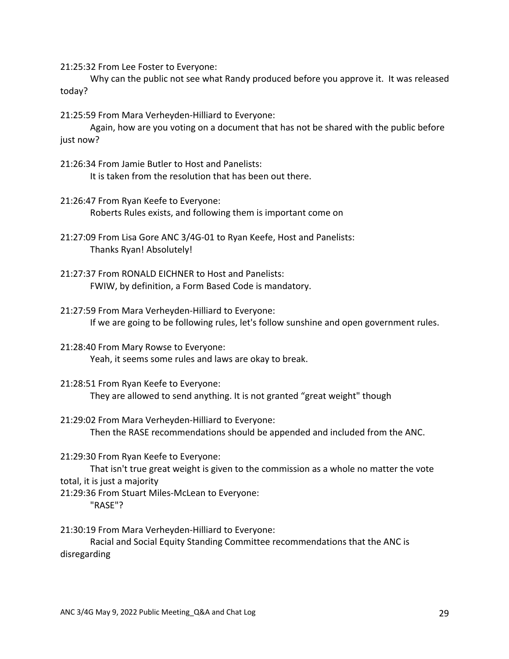21:25:32 From Lee Foster to Everyone:

Why can the public not see what Randy produced before you approve it. It was released today?

21:25:59 From Mara Verheyden-Hilliard to Everyone:

Again, how are you voting on a document that has not be shared with the public before just now?

- 21:26:34 From Jamie Butler to Host and Panelists: It is taken from the resolution that has been out there.
- 21:26:47 From Ryan Keefe to Everyone: Roberts Rules exists, and following them is important come on
- 21:27:09 From Lisa Gore ANC 3/4G-01 to Ryan Keefe, Host and Panelists: Thanks Ryan! Absolutely!
- 21:27:37 From RONALD EICHNER to Host and Panelists: FWIW, by definition, a Form Based Code is mandatory.
- 21:27:59 From Mara Verheyden-Hilliard to Everyone: If we are going to be following rules, let's follow sunshine and open government rules.
- 21:28:40 From Mary Rowse to Everyone: Yeah, it seems some rules and laws are okay to break.
- 21:28:51 From Ryan Keefe to Everyone: They are allowed to send anything. It is not granted "great weight" though
- 21:29:02 From Mara Verheyden-Hilliard to Everyone: Then the RASE recommendations should be appended and included from the ANC.

21:29:30 From Ryan Keefe to Everyone:

That isn't true great weight is given to the commission as a whole no matter the vote total, it is just a majority

21:29:36 From Stuart Miles-McLean to Everyone: "RASE"?

21:30:19 From Mara Verheyden-Hilliard to Everyone:

Racial and Social Equity Standing Committee recommendations that the ANC is disregarding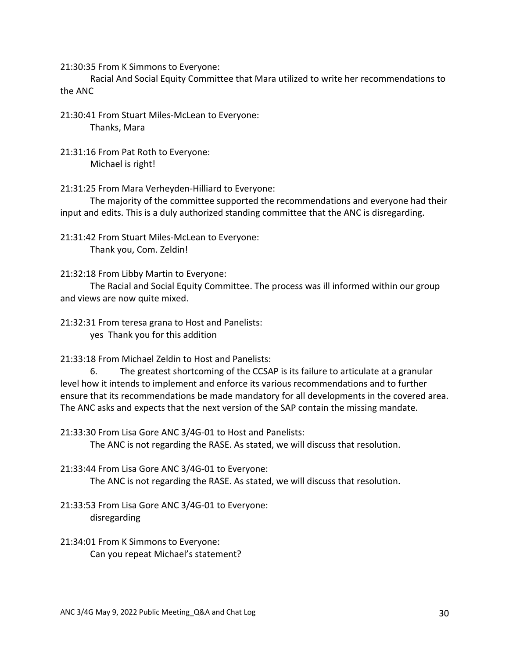21:30:35 From K Simmons to Everyone:

Racial And Social Equity Committee that Mara utilized to write her recommendations to the ANC

21:30:41 From Stuart Miles-McLean to Everyone: Thanks, Mara

21:31:16 From Pat Roth to Everyone: Michael is right!

21:31:25 From Mara Verheyden-Hilliard to Everyone:

The majority of the committee supported the recommendations and everyone had their input and edits. This is a duly authorized standing committee that the ANC is disregarding.

21:31:42 From Stuart Miles-McLean to Everyone: Thank you, Com. Zeldin!

21:32:18 From Libby Martin to Everyone:

The Racial and Social Equity Committee. The process was ill informed within our group and views are now quite mixed.

21:32:31 From teresa grana to Host and Panelists: yes Thank you for this addition

21:33:18 From Michael Zeldin to Host and Panelists:

6. The greatest shortcoming of the CCSAP is its failure to articulate at a granular level how it intends to implement and enforce its various recommendations and to further ensure that its recommendations be made mandatory for all developments in the covered area. The ANC asks and expects that the next version of the SAP contain the missing mandate.

21:33:30 From Lisa Gore ANC 3/4G-01 to Host and Panelists: The ANC is not regarding the RASE. As stated, we will discuss that resolution.

21:33:44 From Lisa Gore ANC 3/4G-01 to Everyone: The ANC is not regarding the RASE. As stated, we will discuss that resolution.

- 21:33:53 From Lisa Gore ANC 3/4G-01 to Everyone: disregarding
- 21:34:01 From K Simmons to Everyone: Can you repeat Michael's statement?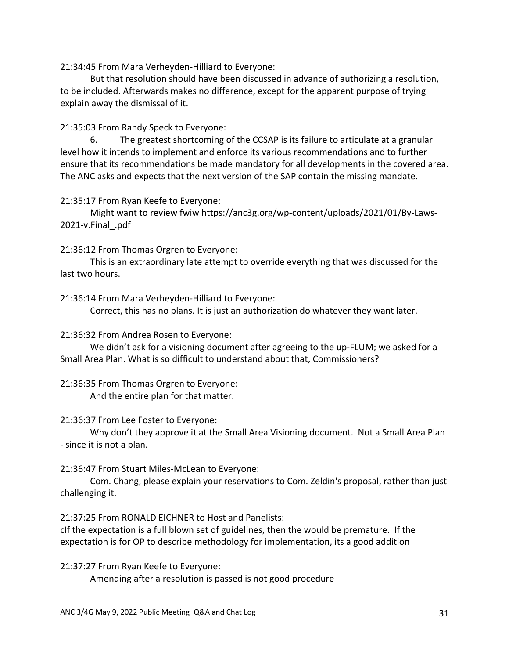21:34:45 From Mara Verheyden-Hilliard to Everyone:

But that resolution should have been discussed in advance of authorizing a resolution, to be included. Afterwards makes no difference, except for the apparent purpose of trying explain away the dismissal of it.

21:35:03 From Randy Speck to Everyone:

6. The greatest shortcoming of the CCSAP is its failure to articulate at a granular level how it intends to implement and enforce its various recommendations and to further ensure that its recommendations be made mandatory for all developments in the covered area. The ANC asks and expects that the next version of the SAP contain the missing mandate.

21:35:17 From Ryan Keefe to Everyone:

Might want to review fwiw https://anc3g.org/wp-content/uploads/2021/01/By-Laws-2021-v.Final\_.pdf

# 21:36:12 From Thomas Orgren to Everyone:

This is an extraordinary late attempt to override everything that was discussed for the last two hours.

21:36:14 From Mara Verheyden-Hilliard to Everyone:

Correct, this has no plans. It is just an authorization do whatever they want later.

## 21:36:32 From Andrea Rosen to Everyone:

We didn't ask for a visioning document after agreeing to the up-FLUM; we asked for a Small Area Plan. What is so difficult to understand about that, Commissioners?

21:36:35 From Thomas Orgren to Everyone:

And the entire plan for that matter.

# 21:36:37 From Lee Foster to Everyone:

Why don't they approve it at the Small Area Visioning document. Not a Small Area Plan - since it is not a plan.

# 21:36:47 From Stuart Miles-McLean to Everyone:

Com. Chang, please explain your reservations to Com. Zeldin's proposal, rather than just challenging it.

21:37:25 From RONALD EICHNER to Host and Panelists:

cIf the expectation is a full blown set of guidelines, then the would be premature. If the expectation is for OP to describe methodology for implementation, its a good addition

21:37:27 From Ryan Keefe to Everyone:

Amending after a resolution is passed is not good procedure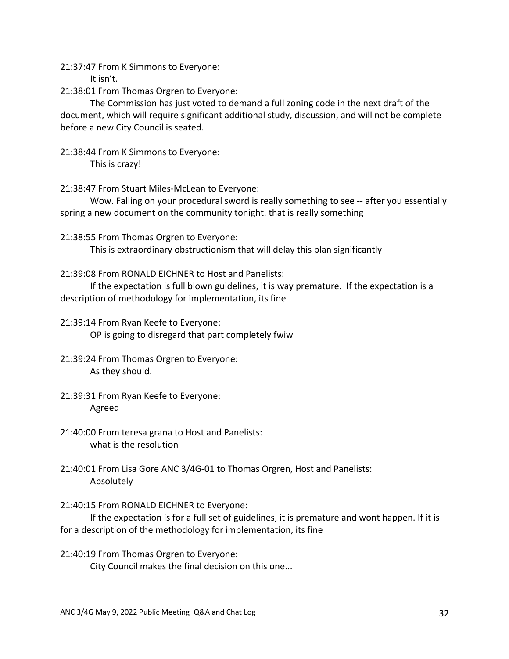21:37:47 From K Simmons to Everyone:

It isn't.

21:38:01 From Thomas Orgren to Everyone:

The Commission has just voted to demand a full zoning code in the next draft of the document, which will require significant additional study, discussion, and will not be complete before a new City Council is seated.

21:38:44 From K Simmons to Everyone:

This is crazy!

21:38:47 From Stuart Miles-McLean to Everyone:

Wow. Falling on your procedural sword is really something to see -- after you essentially spring a new document on the community tonight. that is really something

21:38:55 From Thomas Orgren to Everyone:

This is extraordinary obstructionism that will delay this plan significantly

21:39:08 From RONALD EICHNER to Host and Panelists:

If the expectation is full blown guidelines, it is way premature. If the expectation is a description of methodology for implementation, its fine

21:39:14 From Ryan Keefe to Everyone: OP is going to disregard that part completely fwiw

21:39:24 From Thomas Orgren to Everyone: As they should.

- 21:39:31 From Ryan Keefe to Everyone: Agreed
- 21:40:00 From teresa grana to Host and Panelists: what is the resolution
- 21:40:01 From Lisa Gore ANC 3/4G-01 to Thomas Orgren, Host and Panelists: Absolutely
- 21:40:15 From RONALD EICHNER to Everyone:

If the expectation is for a full set of guidelines, it is premature and wont happen. If it is for a description of the methodology for implementation, its fine

21:40:19 From Thomas Orgren to Everyone: City Council makes the final decision on this one...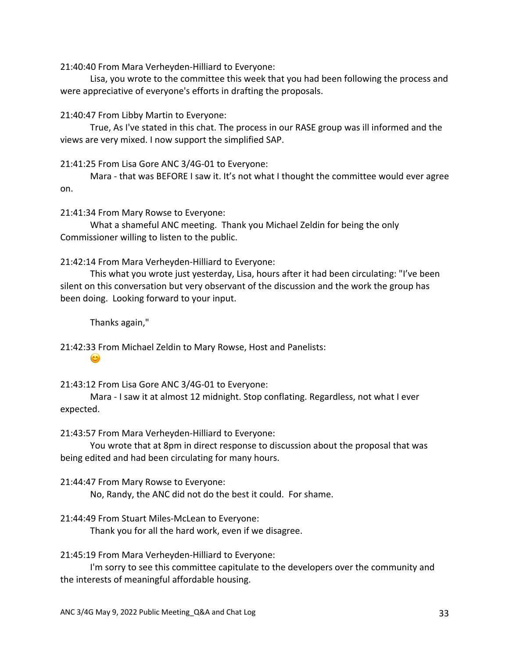21:40:40 From Mara Verheyden-Hilliard to Everyone:

Lisa, you wrote to the committee this week that you had been following the process and were appreciative of everyone's efforts in drafting the proposals.

21:40:47 From Libby Martin to Everyone:

True, As I've stated in this chat. The process in our RASE group was ill informed and the views are very mixed. I now support the simplified SAP.

21:41:25 From Lisa Gore ANC 3/4G-01 to Everyone:

Mara - that was BEFORE I saw it. It's not what I thought the committee would ever agree on.

21:41:34 From Mary Rowse to Everyone:

What a shameful ANC meeting. Thank you Michael Zeldin for being the only Commissioner willing to listen to the public.

21:42:14 From Mara Verheyden-Hilliard to Everyone:

This what you wrote just yesterday, Lisa, hours after it had been circulating: "I've been silent on this conversation but very observant of the discussion and the work the group has been doing. Looking forward to your input.

Thanks again,"

 $\circ$ 

21:42:33 From Michael Zeldin to Mary Rowse, Host and Panelists:

21:43:12 From Lisa Gore ANC 3/4G-01 to Everyone:

Mara - I saw it at almost 12 midnight. Stop conflating. Regardless, not what I ever expected.

21:43:57 From Mara Verheyden-Hilliard to Everyone:

You wrote that at 8pm in direct response to discussion about the proposal that was being edited and had been circulating for many hours.

21:44:47 From Mary Rowse to Everyone:

No, Randy, the ANC did not do the best it could. For shame.

21:44:49 From Stuart Miles-McLean to Everyone:

Thank you for all the hard work, even if we disagree.

21:45:19 From Mara Verheyden-Hilliard to Everyone:

I'm sorry to see this committee capitulate to the developers over the community and the interests of meaningful affordable housing.